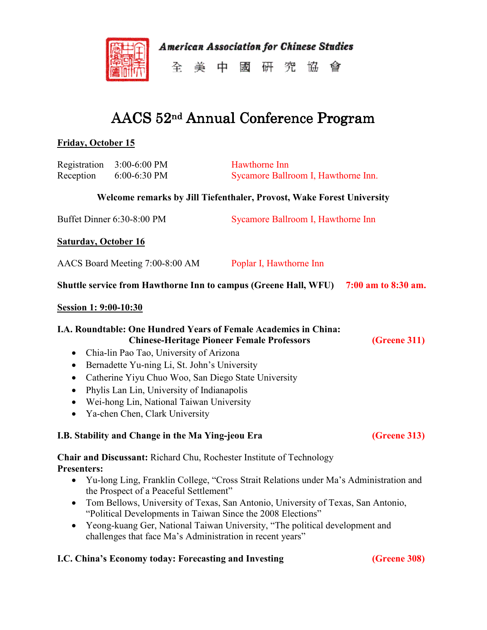

**American Association for Chinese Studies** 

全美中國研究協會

# AACS 52<sup>nd</sup> Annual Conference Program

### **Friday, October 15**

| Registration<br>Reception                                                                                                                                                                                                                                                                                                                                                                                                                                                                                | 3:00-6:00 PM<br>6:00-6:30 PM                                                                                                                                                                                                               | Hawthorne Inn<br>Sycamore Ballroom I, Hawthorne Inn.                                                                                                                                                                                                     |                     |  |
|----------------------------------------------------------------------------------------------------------------------------------------------------------------------------------------------------------------------------------------------------------------------------------------------------------------------------------------------------------------------------------------------------------------------------------------------------------------------------------------------------------|--------------------------------------------------------------------------------------------------------------------------------------------------------------------------------------------------------------------------------------------|----------------------------------------------------------------------------------------------------------------------------------------------------------------------------------------------------------------------------------------------------------|---------------------|--|
|                                                                                                                                                                                                                                                                                                                                                                                                                                                                                                          |                                                                                                                                                                                                                                            | Welcome remarks by Jill Tiefenthaler, Provost, Wake Forest University                                                                                                                                                                                    |                     |  |
| Buffet Dinner 6:30-8:00 PM                                                                                                                                                                                                                                                                                                                                                                                                                                                                               |                                                                                                                                                                                                                                            | Sycamore Ballroom I, Hawthorne Inn                                                                                                                                                                                                                       |                     |  |
| <b>Saturday, October 16</b>                                                                                                                                                                                                                                                                                                                                                                                                                                                                              |                                                                                                                                                                                                                                            |                                                                                                                                                                                                                                                          |                     |  |
| AACS Board Meeting 7:00-8:00 AM                                                                                                                                                                                                                                                                                                                                                                                                                                                                          |                                                                                                                                                                                                                                            | Poplar I, Hawthorne Inn                                                                                                                                                                                                                                  |                     |  |
| Shuttle service from Hawthorne Inn to campus (Greene Hall, WFU)<br>7:00 am to 8:30 am.                                                                                                                                                                                                                                                                                                                                                                                                                   |                                                                                                                                                                                                                                            |                                                                                                                                                                                                                                                          |                     |  |
| <b>Session 1: 9:00-10:30</b>                                                                                                                                                                                                                                                                                                                                                                                                                                                                             |                                                                                                                                                                                                                                            |                                                                                                                                                                                                                                                          |                     |  |
| <b>I.A. Roundtable: One Hundred Years of Female Academics in China:</b><br><b>Chinese-Heritage Pioneer Female Professors</b><br>(Greene 311)<br>Chia-lin Pao Tao, University of Arizona<br>$\bullet$<br>Bernadette Yu-ning Li, St. John's University<br>$\bullet$<br>Catherine Yiyu Chuo Woo, San Diego State University<br>$\bullet$<br>Phylis Lan Lin, University of Indianapolis<br>$\bullet$<br>Wei-hong Lin, National Taiwan University<br>$\bullet$<br>Ya-chen Chen, Clark University<br>$\bullet$ |                                                                                                                                                                                                                                            |                                                                                                                                                                                                                                                          |                     |  |
| I.B. Stability and Change in the Ma Ying-jeou Era                                                                                                                                                                                                                                                                                                                                                                                                                                                        | <b>(Greene 313)</b>                                                                                                                                                                                                                        |                                                                                                                                                                                                                                                          |                     |  |
| <b>Presenters:</b><br>$\bullet$<br>٠<br>$\bullet$                                                                                                                                                                                                                                                                                                                                                                                                                                                        | Chair and Discussant: Richard Chu, Rochester Institute of Technology<br>the Prospect of a Peaceful Settlement"<br>"Political Developments in Taiwan Since the 2008 Elections"<br>challenges that face Ma's Administration in recent years" | Yu-long Ling, Franklin College, "Cross Strait Relations under Ma's Administration and<br>Tom Bellows, University of Texas, San Antonio, University of Texas, San Antonio,<br>Yeong-kuang Ger, National Taiwan University, "The political development and |                     |  |
|                                                                                                                                                                                                                                                                                                                                                                                                                                                                                                          | I.C. China's Economy today: Forecasting and Investing                                                                                                                                                                                      |                                                                                                                                                                                                                                                          | <b>(Greene 308)</b> |  |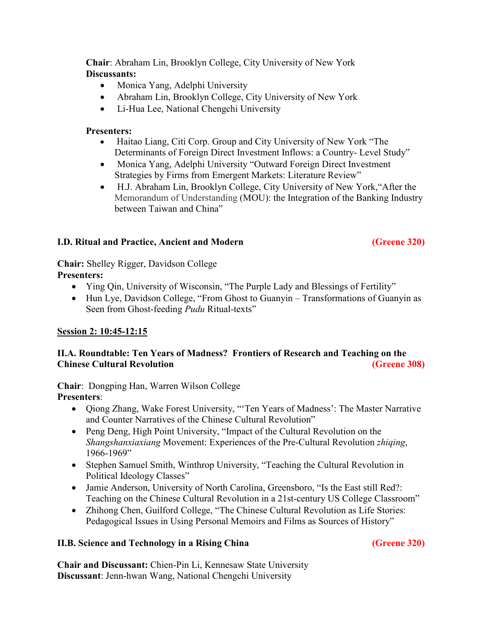**Chair**: Abraham Lin, Brooklyn College, City University of New York **Discussants:**

- Monica Yang, Adelphi University
- Abraham Lin, Brooklyn College, City University of New York
- Li-Hua Lee, National Chengchi University

#### **Presenters:**

- Haitao Liang, Citi Corp. Group and City University of New York "The Determinants of Foreign Direct Investment Inflows: a Country- Level Study"
- Monica Yang, Adelphi University "Outward Foreign Direct Investment Strategies by Firms from Emergent Markets: Literature Review"
- H.J. Abraham Lin, Brooklyn College, City University of New York,"After the Memorandum of Understanding (MOU): the Integration of the Banking Industry between Taiwan and China"

### **I.D. Ritual and Practice, Ancient and Modern (Greene 320)**

**Chair:** Shelley Rigger, Davidson College **Presenters:** 

- Ying Qin, University of Wisconsin, "The Purple Lady and Blessings of Fertility"
- Hun Lye, Davidson College, "From Ghost to Guanyin Transformations of Guanyin as Seen from Ghost-feeding *Pudu* Ritual-texts"

### **Session 2: 10:45-12:15**

### **II.A. Roundtable: Ten Years of Madness? Frontiers of Research and Teaching on the Chinese Cultural Revolution (Greene 308)**

**Chair**: Dongping Han, Warren Wilson College **Presenters**:

- Qiong Zhang, Wake Forest University, "Ten Years of Madness': The Master Narrative and Counter Narratives of the Chinese Cultural Revolution"
- Peng Deng, High Point University, "Impact of the Cultural Revolution on the *Shangshanxiaxiang* Movement: Experiences of the Pre-Cultural Revolution *zhiqing*, 1966-1969"
- Stephen Samuel Smith, Winthrop University, "Teaching the Cultural Revolution in Political Ideology Classes"
- Jamie Anderson, University of North Carolina, Greensboro, "Is the East still Red?: Teaching on the Chinese Cultural Revolution in a 21st-century US College Classroom"
- Zhihong Chen, Guilford College, "The Chinese Cultural Revolution as Life Stories: Pedagogical Issues in Using Personal Memoirs and Films as Sources of History"

### **II.B. Science and Technology in a Rising China (Greene 320)**

**Chair and Discussant:** Chien-Pin Li, Kennesaw State University **Discussant**: Jenn-hwan Wang, National Chengchi University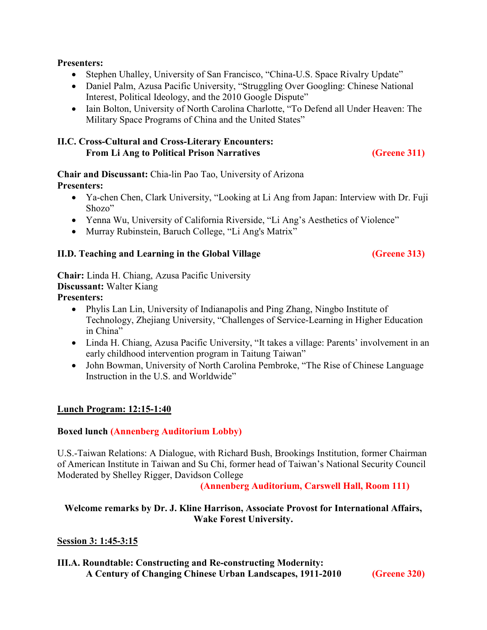#### **Presenters:**

- Stephen Uhalley, University of San Francisco, "China-U.S. Space Rivalry Update"
- Daniel Palm, Azusa Pacific University, "Struggling Over Googling: Chinese National Interest, Political Ideology, and the 2010 Google Dispute"
- Iain Bolton, University of North Carolina Charlotte, "To Defend all Under Heaven: The Military Space Programs of China and the United States"

#### **II.C. Cross-Cultural and Cross-Literary Encounters: From Li Ang to Political Prison Narratives (Greene 311)**

**Chair and Discussant:** Chia-lin Pao Tao, University of Arizona **Presenters:** 

- Ya-chen Chen, Clark University, "Looking at Li Ang from Japan: Interview with Dr. Fuji Shozo"
- Yenna Wu, University of California Riverside, "Li Ang's Aesthetics of Violence"
- Murray Rubinstein, Baruch College, "Li Ang's Matrix"

#### **II.D. Teaching and Learning in the Global Village (Greene 313)**

**Chair:** Linda H. Chiang, Azusa Pacific University **Discussant:** Walter Kiang **Presenters:** 

- Phylis Lan Lin, University of Indianapolis and Ping Zhang, Ningbo Institute of Technology, Zhejiang University, "Challenges of Service-Learning in Higher Education in China"
- Linda H. Chiang, Azusa Pacific University, "It takes a village: Parents' involvement in an early childhood intervention program in Taitung Taiwan"
- John Bowman, University of North Carolina Pembroke, "The Rise of Chinese Language Instruction in the U.S. and Worldwide"

#### **Lunch Program: 12:15-1:40**

#### **Boxed lunch (Annenberg Auditorium Lobby)**

U.S.-Taiwan Relations: A Dialogue, with Richard Bush, Brookings Institution, former Chairman of American Institute in Taiwan and Su Chi, former head of Taiwan's National Security Council Moderated by Shelley Rigger, Davidson College

**(Annenberg Auditorium, Carswell Hall, Room 111)**

#### **Welcome remarks by Dr. J. Kline Harrison, Associate Provost for International Affairs, Wake Forest University.**

#### **Session 3: 1:45-3:15**

#### **III.A. Roundtable: Constructing and Re-constructing Modernity: A Century of Changing Chinese Urban Landscapes, 1911-2010 (Greene 320)**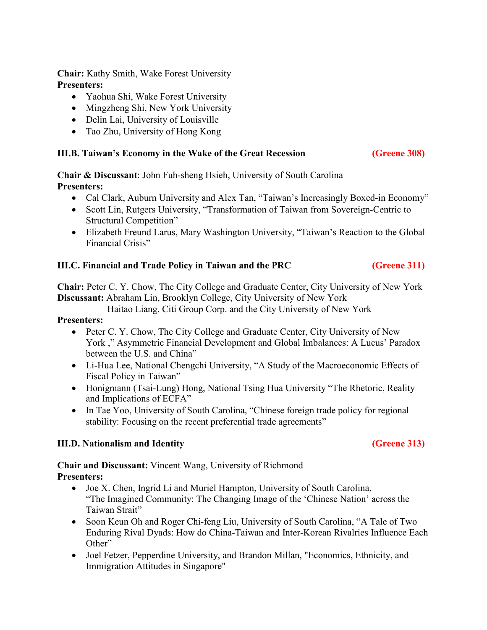**Chair:** Kathy Smith, Wake Forest University **Presenters:** 

- Yaohua Shi, Wake Forest University
- Mingzheng Shi, New York University
- Delin Lai, University of Louisville
- Tao Zhu, University of Hong Kong

#### **III.B. Taiwan's Economy in the Wake of the Great Recession (Greene 308)**

**Chair & Discussant**: John Fuh-sheng Hsieh, University of South Carolina **Presenters:**

- Cal Clark, Auburn University and Alex Tan, "Taiwan's Increasingly Boxed-in Economy"
- Scott Lin, Rutgers University, "Transformation of Taiwan from Sovereign-Centric to Structural Competition"
- Elizabeth Freund Larus, Mary Washington University, "Taiwan's Reaction to the Global Financial Crisis"

#### **III.C. Financial and Trade Policy in Taiwan and the PRC (Greene 311)**

**Chair:** Peter C. Y. Chow, The City College and Graduate Center, City University of New York **Discussant:** Abraham Lin, Brooklyn College, City University of New York

Haitao Liang, Citi Group Corp. and the City University of New York

**Presenters:** 

- Peter C. Y. Chow, The City College and Graduate Center, City University of New York ," Asymmetric Financial Development and Global Imbalances: A Lucus' Paradox between the U.S. and China"
- Li-Hua Lee, National Chengchi University, "A Study of the Macroeconomic Effects of Fiscal Policy in Taiwan"
- Honigmann (Tsai-Lung) Hong, National Tsing Hua University "The Rhetoric, Reality and Implications of ECFA"
- In Tae Yoo, University of South Carolina, "Chinese foreign trade policy for regional stability: Focusing on the recent preferential trade agreements"

#### **III.D.** Nationalism and Identity (Greene 313)

**Chair and Discussant:** Vincent Wang, University of Richmond **Presenters:**

- Joe X. Chen, Ingrid Li and Muriel Hampton, University of South Carolina, "The Imagined Community: The Changing Image of the 'Chinese Nation' across the Taiwan Strait"
- Soon Keun Oh and Roger Chi-feng Liu, University of South Carolina, "A Tale of Two Enduring Rival Dyads: How do China-Taiwan and Inter-Korean Rivalries Influence Each Other"
- Joel Fetzer, Pepperdine University, and Brandon Millan, "Economics, Ethnicity, and Immigration Attitudes in Singapore"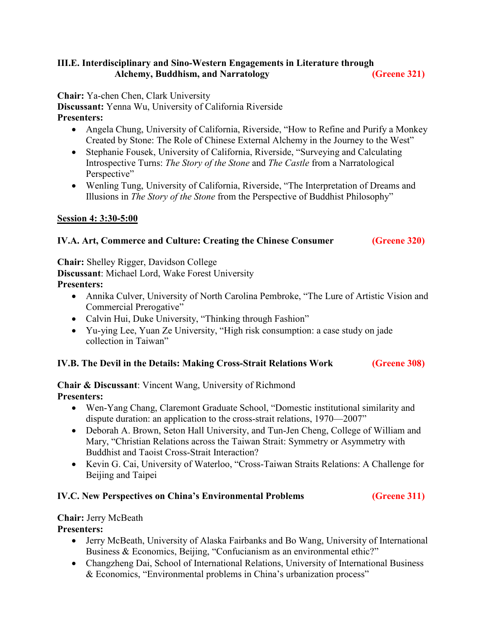#### **III.E. Interdisciplinary and Sino-Western Engagements in Literature through**  Alchemy, Buddhism, and Narratology **(Greene 321)**

**Chair:** Ya-chen Chen, Clark University

**Discussant:** Yenna Wu, University of California Riverside **Presenters:** 

- Angela Chung, University of California, Riverside, "How to Refine and Purify a Monkey Created by Stone: The Role of Chinese External Alchemy in the Journey to the West"
- Stephanie Fousek, University of California, Riverside, "Surveying and Calculating Introspective Turns: *The Story of the Stone* and *The Castle* from a Narratological Perspective"
- Wenling Tung, University of California, Riverside, "The Interpretation of Dreams and Illusions in *The Story of the Stone* from the Perspective of Buddhist Philosophy"

#### **Session 4: 3:30-5:00**

#### **IV.A. Art, Commerce and Culture: Creating the Chinese Consumer (Greene 320)**

**Chair:** Shelley Rigger, Davidson College **Discussant**: Michael Lord, Wake Forest University **Presenters:** 

- Annika Culver, University of North Carolina Pembroke, "The Lure of Artistic Vision and Commercial Prerogative"
- Calvin Hui, Duke University, "Thinking through Fashion"
- Yu-ying Lee, Yuan Ze University, "High risk consumption: a case study on jade collection in Taiwan"

#### **IV.B. The Devil in the Details: Making Cross-Strait Relations Work (Greene 308)**

**Chair & Discussant**: Vincent Wang, University of Richmond **Presenters:** 

- Wen-Yang Chang, Claremont Graduate School, "Domestic institutional similarity and dispute duration: an application to the cross-strait relations, 1970—2007"
- Deborah A. Brown, Seton Hall University, and Tun-Jen Cheng, College of William and Mary, "Christian Relations across the Taiwan Strait: Symmetry or Asymmetry with Buddhist and Taoist Cross-Strait Interaction?
- Kevin G. Cai, University of Waterloo, "Cross-Taiwan Straits Relations: A Challenge for Beijing and Taipei

#### **IV.C. New Perspectives on China's Environmental Problems (Greene 311)**

#### **Chair:** Jerry McBeath

#### **Presenters:**

- Jerry McBeath, University of Alaska Fairbanks and Bo Wang, University of International Business & Economics, Beijing, "Confucianism as an environmental ethic?"
- Changzheng Dai, School of International Relations, University of International Business & Economics, "Environmental problems in China's urbanization process"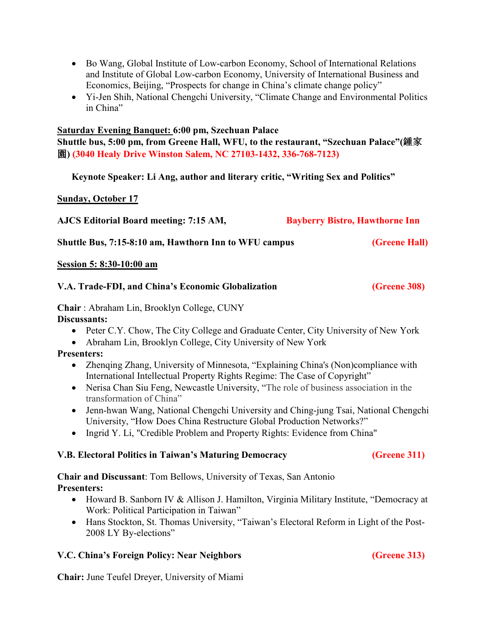- Bo Wang, Global Institute of Low-carbon Economy, School of International Relations and Institute of Global Low-carbon Economy, University of International Business and Economics, Beijing, "Prospects for change in China's climate change policy"
- Yi-Jen Shih, National Chengchi University, "Climate Change and Environmental Politics in China"

#### **Saturday Evening Banquet: 6:00 pm, Szechuan Palace**

**Shuttle bus, 5:00 pm, from Greene Hall, WFU, to the restaurant, "Szechuan Palace"(**鍾家 園) (3040 Healy Drive Winston Salem, NC 27103-1432, 336-768-7123)

**Keynote Speaker: Li Ang, author and literary critic, "Writing Sex and Politics"**

**Sunday, October 17**

| AJCS Editorial Board meeting: 7:15 AM,                | <b>Bayberry Bistro, Hawthorne Inn</b> |  |
|-------------------------------------------------------|---------------------------------------|--|
| Shuttle Bus, 7:15-8:10 am, Hawthorn Inn to WFU campus | (Greene Hall)                         |  |
| Session 5: 8:30-10:00 am                              |                                       |  |
| V.A. Trade-FDI, and China's Economic Globalization    | (Greene 308)                          |  |
|                                                       |                                       |  |

**Chair** : Abraham Lin, Brooklyn College, CUNY

**Discussants:** 

- Peter C.Y. Chow, The City College and Graduate Center, City University of New York
- Abraham Lin, Brooklyn College, City University of New York

#### **Presenters:**

- Zhenging Zhang, University of Minnesota, "Explaining China's (Non)compliance with International Intellectual Property Rights Regime: The Case of Copyright"
- Nerisa Chan Siu Feng, Newcastle University, "The role of business association in the transformation of China"
- Jenn-hwan Wang, National Chengchi University and Ching-jung Tsai, National Chengchi University, "How Does China Restructure Global Production Networks?"
- Ingrid Y. Li, "Credible Problem and Property Rights: Evidence from China"

#### **V.B. Electoral Politics in Taiwan's Maturing Democracy (Greene 311)**

**Chair and Discussant**: Tom Bellows, University of Texas, San Antonio **Presenters:** 

- Howard B. Sanborn IV & Allison J. Hamilton, Virginia Military Institute, "Democracy at Work: Political Participation in Taiwan"
- Hans Stockton, St. Thomas University, "Taiwan's Electoral Reform in Light of the Post-2008 LY By-elections"

#### **V.C. China's Foreign Policy: Near Neighbors (Greene 313)**

**Chair:** June Teufel Dreyer, University of Miami